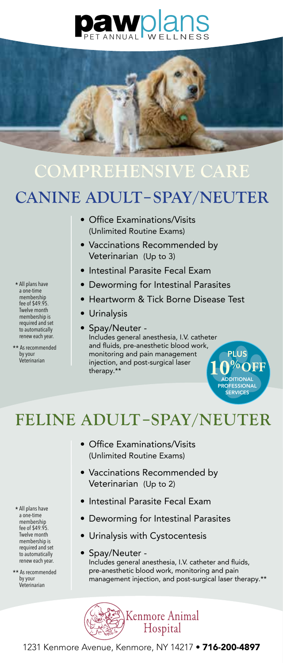# **pawplans**



## **COMPREHENSIVE CARE**

### **CANINE ADULT–SPAY/NEUTER**

- Office Examinations/Visits (Unlimited Routine Exams)
- Vaccinations Recommended by Veterinarian (Up to 3)
- Intestinal Parasite Fecal Exam
- Deworming for Intestinal Parasites
- Heartworm & Tick Borne Disease Test

 $\mathbf{0}^{\mathrm{%OFF}}$ **PROFESSIONA** SERVICES

- Urinalysis
- Spay/Neuter -

Includes general anesthesia, I.V. catheter and fluids, pre-anesthetic blood work, by your **monitoring and pain management**<br>Veterinarian **PLUS** injection and post-surgical laser injection, and post-surgical laser therapy.\*\*

**FELINE ADULT–SPAY/NEUTER**

- Office Examinations/Visits (Unlimited Routine Exams)
- Vaccinations Recommended by Veterinarian (Up to 2)
- Intestinal Parasite Fecal Exam
- Deworming for Intestinal Parasites
- Urinalysis with Cystocentesis
- Spay/Neuter Includes general anesthesia, I.V. catheter and fluids, pre-anesthetic blood work, monitoring and pain management injection, and post-surgical laser therapy.\*\*



\* All plans have a one-time membership fee of \$49.95. Twelve month membership is required and set to automatically renew each year.

\*\* As recommended by your<br>Veterinarian

- \* All plans have a one-time membership fee of \$49.95. Twelve month membership is required and set to automatically renew each year.
- \*\* As recommended by your Veterinarian